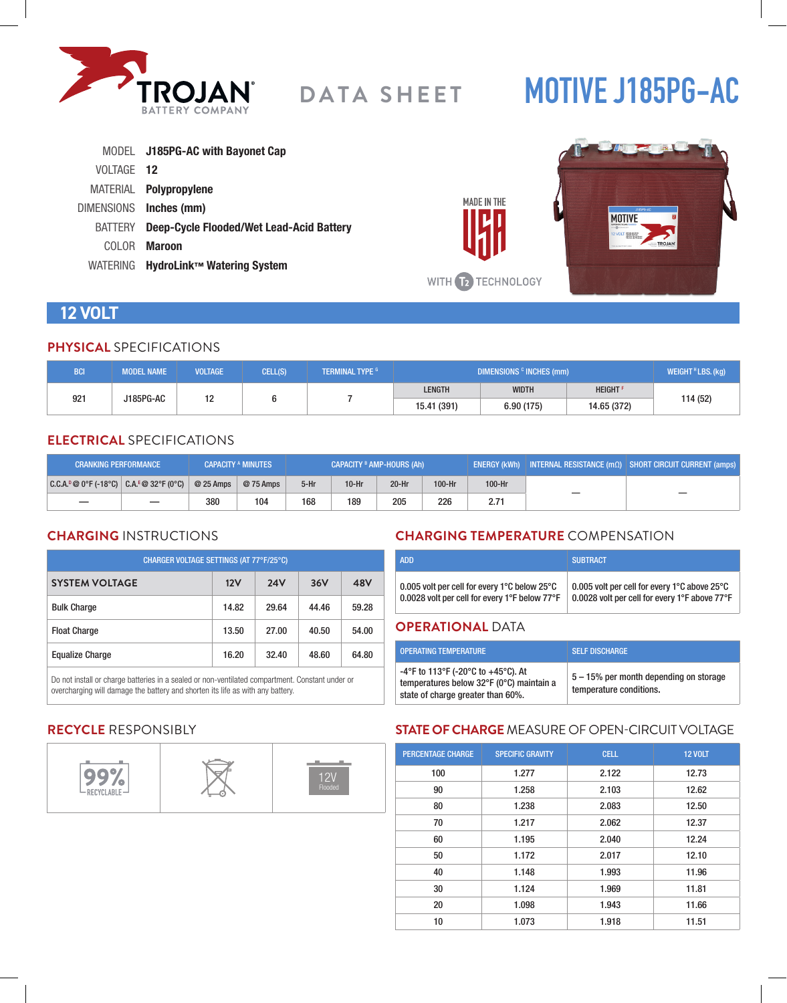

# **MOTIVE J185PG-AC**

|            | MODEL J185PG-AC with Bayonet Cap                 |
|------------|--------------------------------------------------|
| VOLTAGE 12 |                                                  |
|            | MATERIAL Polypropylene                           |
|            | DIMENSIONS Inches (mm)                           |
|            | BATTERY Deep-Cycle Flooded/Wet Lead-Acid Battery |
| COLOR.     | <b>Maroon</b>                                    |
|            | WATERING HydroLink™ Watering System              |



## **12 VOLT**

#### **PHYSICAL** SPECIFICATIONS

| <b>BCI</b>       | <b>MODEL NAME</b> | <b>VOLTAGE</b> | CELL(S) | <b>TERMINAL TYPE G</b> | DIMENSIONS <sup>c</sup> INCHES (mm) |              |                            | WEIGHT <sup>H</sup> LBS. (kg) |
|------------------|-------------------|----------------|---------|------------------------|-------------------------------------|--------------|----------------------------|-------------------------------|
|                  |                   | ۰ -            |         |                        | <b>LENGTH</b>                       | <b>WIDTH</b> | <b>HEIGHT</b> <sup>F</sup> |                               |
| 921<br>J185PG-AC | . .               |                |         | 15.41 (391)            | 6.90(175)                           | 14.65 (372)  | 114 (52)                   |                               |

#### **ELECTRICAL** SPECIFICATIONS

| <b>CRANKING PERFORMANCE</b>                   |            | <b>CAPACITY A MINUTES</b> | <b>CAPACITY <sup>B</sup> AMP-HOURS (Ah)</b> |         |         |          | ENERGY (kWh) INTERNAL RESISTANCE $\overline{(m\Omega)}$ SHORT CIRCUIT CURRENT (amps) |  |  |
|-----------------------------------------------|------------|---------------------------|---------------------------------------------|---------|---------|----------|--------------------------------------------------------------------------------------|--|--|
| $ C.C.A.^p@0^cF(-18^cC)  C.A.^E@32^cF(0^cC) $ | $@25$ Amps | @ 75 Amps                 | $5-Hr$                                      | $10-Hr$ | $20-Hr$ | $100-Hr$ | 100-Hr                                                                               |  |  |
|                                               | 380        | 104                       | 168                                         | 189     | 205     | 226      | 2.71                                                                                 |  |  |

#### **CHARGING** INSTRUCTIONS

| CHARGER VOLTAGE SETTINGS (AT 77°F/25°C) |       |            |       |       |  |  |
|-----------------------------------------|-------|------------|-------|-------|--|--|
| <b>SYSTEM VOLTAGE</b>                   | 12V   | <b>24V</b> | 36V   | 48V   |  |  |
| <b>Bulk Charge</b>                      | 14.82 | 29.64      | 44.46 | 59.28 |  |  |
| <b>Float Charge</b>                     | 13.50 | 27.00      | 40.50 | 54.00 |  |  |
| <b>Equalize Charge</b>                  | 16.20 | 32.40      | 48.60 | 64.80 |  |  |

Do not install or charge batteries in a sealed or non-ventilated compartment. Constant under or overcharging will damage the battery and shorten its life as with any battery.

#### **CHARGING TEMPERATURE** COMPENSATION

| <b>ADD</b>                                                       | <b>SUBTRACT</b>                               |
|------------------------------------------------------------------|-----------------------------------------------|
| 0.005 volt per cell for every 1 $\degree$ C below 25 $\degree$ C | 0.005 volt per cell for every 1°C above 25°C  |
| 0.0028 volt per cell for every 1°F below 77°F                    | 0.0028 volt per cell for every 1°F above 77°F |

#### **OPERATIONAL** DATA

**MADE IN THE** 

| OPFRATING TEMPERATURE                                                                                               | <b>SELF DISCHARGE</b>                                             |
|---------------------------------------------------------------------------------------------------------------------|-------------------------------------------------------------------|
| -4°F to 113°F (-20°C to +45°C). At<br>temperatures below 32°F (0°C) maintain a<br>state of charge greater than 60%. | 5 – 15% per month depending on storage<br>temperature conditions. |

#### **RECYCLE** RESPONSIBLY



#### **STATE OF CHARGE** MEASURE OF OPEN-CIRCUIT VOLTAGE

| <b>PERCENTAGE CHARGE</b> | <b>SPECIFIC GRAVITY</b> | <b>CELL</b> | <b>12 VOLT</b> |
|--------------------------|-------------------------|-------------|----------------|
| 100                      | 1.277                   | 2.122       | 12.73          |
| 90                       | 1.258                   | 2.103       | 12.62          |
| 80                       | 1.238                   | 2.083       | 12.50          |
| 70                       | 1.217                   | 2.062       | 12.37          |
| 60                       | 1.195                   | 2.040       | 12.24          |
| 50                       | 1.172                   | 2.017       | 12.10          |
| 40                       | 1.148                   | 1.993       | 11.96          |
| 30                       | 1.124                   | 1.969       | 11.81          |
| 20                       | 1.098                   | 1.943       | 11.66          |
| 10                       | 1.073                   | 1.918       | 11.51          |